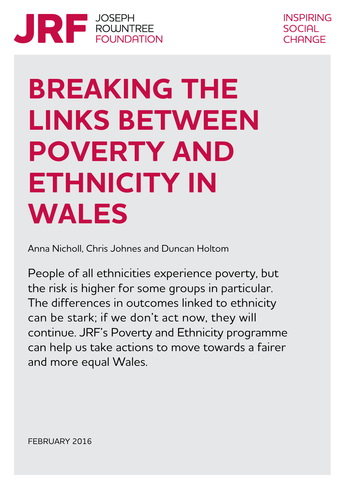



# **BREAKING THE LINKS BETWEEN POVERTY AND ETHNICITY IN WALES**

Anna Nicholl, Chris Johnes and Duncan Holtom

People of all ethnicities experience poverty, but the risk is higher for some groups in particular. The differences in outcomes linked to ethnicity can be stark; if we don't act now, they will continue. JRF's Poverty and Ethnicity programme can help us take actions to move towards a fairer and more equal Wales.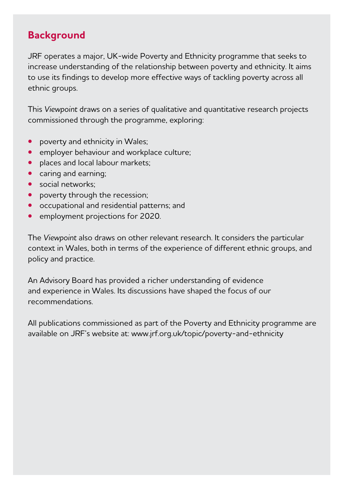# **Background**

JRF operates a major, UK-wide Poverty and Ethnicity programme that seeks to increase understanding of the relationship between poverty and ethnicity. It aims to use its findings to develop more effective ways of tackling poverty across all ethnic groups.

This *Viewpoint* draws on a series of qualitative and quantitative research projects commissioned through the programme, exploring:

- **•** poverty and ethnicity in Wales;
- **•** employer behaviour and workplace culture;
- **•** places and local labour markets;
- **•** caring and earning;
- **•** social networks;
- **•** poverty through the recession;
- **•** occupational and residential patterns; and
- **•** employment projections for 2020.

The *Viewpoint* also draws on other relevant research. It considers the particular context in Wales, both in terms of the experience of different ethnic groups, and policy and practice.

An Advisory Board has provided a richer understanding of evidence and experience in Wales. Its discussions have shaped the focus of our recommendations.

All publications commissioned as part of the Poverty and Ethnicity programme are available on JRF's website at: www.jrf.org.uk/topic/poverty-and-ethnicity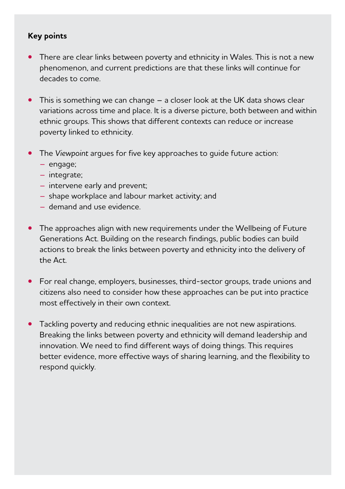#### **Key points**

- **•** There are clear links between poverty and ethnicity in Wales. This is not a new phenomenon, and current predictions are that these links will continue for decades to come.
- **•** This is something we can change a closer look at the UK data shows clear variations across time and place. It is a diverse picture, both between and within ethnic groups. This shows that different contexts can reduce or increase poverty linked to ethnicity.
- **•** The *Viewpoint* argues for five key approaches to guide future action:
	- engage;
	- integrate;
	- intervene early and prevent;
	- shape workplace and labour market activity; and
	- demand and use evidence.
- **•** The approaches align with new requirements under the Wellbeing of Future Generations Act. Building on the research findings, public bodies can build actions to break the links between poverty and ethnicity into the delivery of the Act.
- **•** For real change, employers, businesses, third-sector groups, trade unions and citizens also need to consider how these approaches can be put into practice most effectively in their own context.
- **•** Tackling poverty and reducing ethnic inequalities are not new aspirations. Breaking the links between poverty and ethnicity will demand leadership and innovation. We need to find different ways of doing things. This requires better evidence, more effective ways of sharing learning, and the flexibility to respond quickly.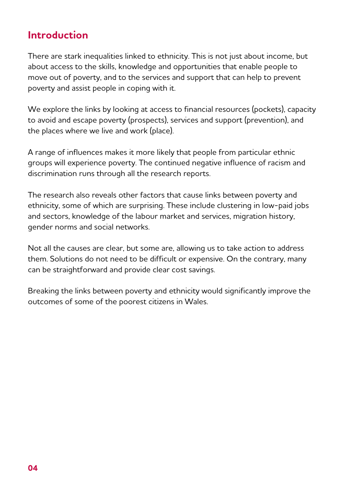## **Introduction**

There are stark inequalities linked to ethnicity. This is not just about income, but about access to the skills, knowledge and opportunities that enable people to move out of poverty, and to the services and support that can help to prevent poverty and assist people in coping with it.

We explore the links by looking at access to financial resources (pockets), capacity to avoid and escape poverty (prospects), services and support (prevention), and the places where we live and work (place).

A range of influences makes it more likely that people from particular ethnic groups will experience poverty. The continued negative influence of racism and discrimination runs through all the research reports.

The research also reveals other factors that cause links between poverty and ethnicity, some of which are surprising. These include clustering in low-paid jobs and sectors, knowledge of the labour market and services, migration history, gender norms and social networks.

Not all the causes are clear, but some are, allowing us to take action to address them. Solutions do not need to be difficult or expensive. On the contrary, many can be straightforward and provide clear cost savings.

Breaking the links between poverty and ethnicity would significantly improve the outcomes of some of the poorest citizens in Wales.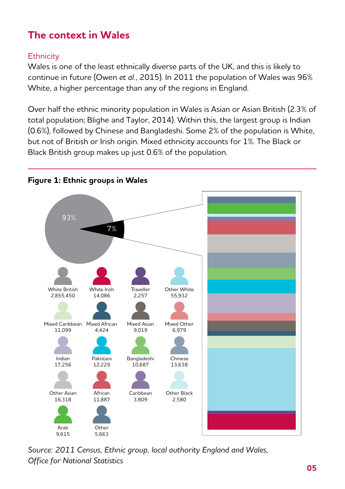# **The context in Wales**

#### **Ethnicity**

Wales is one of the least ethnically diverse parts of the UK, and this is likely to continue in future (Owen *et al.,* 2015). In 2011 the population of Wales was 96% White, a higher percentage than any of the regions in England.

Over half the ethnic minority population in Wales is Asian or Asian British (2.3% of total population; Blighe and Taylor, 2014). Within this, the largest group is Indian (0.6%), followed by Chinese and Bangladeshi. Some 2% of the population is White, but not of British or Irish origin. Mixed ethnicity accounts for 1%. The Black or Black British group makes up just 0.6% of the population.



**Figure 1: Ethnic groups in Wales**

*Source: 2011 Census, Ethnic group, local authority England and Wales, Office for National Statistics*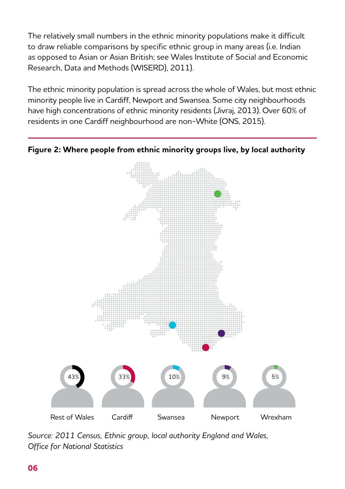The relatively small numbers in the ethnic minority populations make it difficult to draw reliable comparisons by specific ethnic group in many areas (i.e. Indian as opposed to Asian or Asian British; see Wales Institute of Social and Economic Research, Data and Methods (WISERD), 2011).

The ethnic minority population is spread across the whole of Wales, but most ethnic minority people live in Cardiff, Newport and Swansea. Some city neighbourhoods have high concentrations of ethnic minority residents (Jivraj, 2013). Over 60% of residents in one Cardiff neighbourhood are non-White (ONS, 2015).



**Figure 2: Where people from ethnic minority groups live, by local authority**

*Source: 2011 Census, Ethnic group, local authority England and Wales, Office for National Statistics*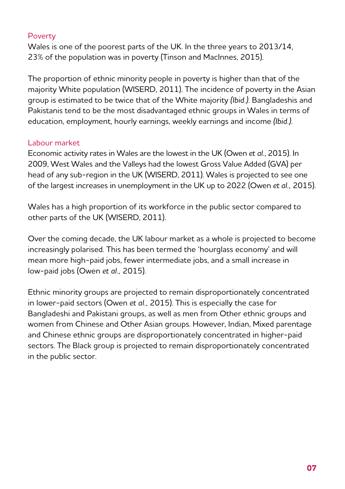#### Poverty

Wales is one of the poorest parts of the UK. In the three years to 2013/14, 23% of the population was in poverty (Tinson and MacInnes, 2015).

The proportion of ethnic minority people in poverty is higher than that of the majority White population (WISERD, 2011). The incidence of poverty in the Asian group is estimated to be twice that of the White majority *(Ibid.)*. Bangladeshis and Pakistanis tend to be the most disadvantaged ethnic groups in Wales in terms of education, employment, hourly earnings, weekly earnings and income *(Ibid.)*.

#### Labour market

Economic activity rates in Wales are the lowest in the UK (Owen *et al.*, 2015). In 2009, West Wales and the Valleys had the lowest Gross Value Added (GVA) per head of any sub-region in the UK (WISERD, 2011). Wales is projected to see one of the largest increases in unemployment in the UK up to 2022 (Owen *et al.,* 2015).

Wales has a high proportion of its workforce in the public sector compared to other parts of the UK (WISERD, 2011).

Over the coming decade, the UK labour market as a whole is projected to become increasingly polarised. This has been termed the 'hourglass economy' and will mean more high-paid jobs, fewer intermediate jobs, and a small increase in low-paid jobs (Owen *et al.,* 2015).

Ethnic minority groups are projected to remain disproportionately concentrated in lower-paid sectors (Owen *et al.,* 2015). This is especially the case for Bangladeshi and Pakistani groups, as well as men from Other ethnic groups and women from Chinese and Other Asian groups. However, Indian, Mixed parentage and Chinese ethnic groups are disproportionately concentrated in higher-paid sectors. The Black group is projected to remain disproportionately concentrated in the public sector.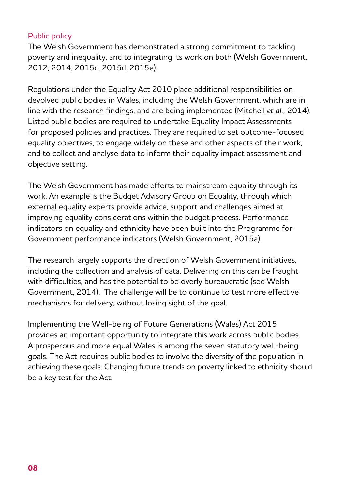#### Public policy

The Welsh Government has demonstrated a strong commitment to tackling poverty and inequality, and to integrating its work on both (Welsh Government, 2012; 2014; 2015c; 2015d; 2015e).

Regulations under the Equality Act 2010 place additional responsibilities on devolved public bodies in Wales, including the Welsh Government, which are in line with the research findings, and are being implemented (Mitchell *et al.,* 2014). Listed public bodies are required to undertake Equality Impact Assessments for proposed policies and practices. They are required to set outcome-focused equality objectives, to engage widely on these and other aspects of their work, and to collect and analyse data to inform their equality impact assessment and objective setting.

The Welsh Government has made efforts to mainstream equality through its work. An example is the Budget Advisory Group on Equality, through which external equality experts provide advice, support and challenges aimed at improving equality considerations within the budget process. Performance indicators on equality and ethnicity have been built into the Programme for Government performance indicators (Welsh Government, 2015a).

The research largely supports the direction of Welsh Government initiatives, including the collection and analysis of data. Delivering on this can be fraught with difficulties, and has the potential to be overly bureaucratic (see Welsh Government, 2014). The challenge will be to continue to test more effective mechanisms for delivery, without losing sight of the goal.

Implementing the Well-being of Future Generations (Wales) Act 2015 provides an important opportunity to integrate this work across public bodies. A prosperous and more equal Wales is among the seven statutory well-being goals. The Act requires public bodies to involve the diversity of the population in achieving these goals. Changing future trends on poverty linked to ethnicity should be a key test for the Act.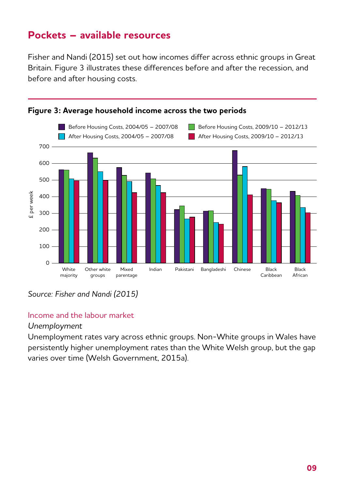## **Pockets – available resources**

Fisher and Nandi (2015) set out how incomes differ across ethnic groups in Great Britain. Figure 3 illustrates these differences before and after the recession, and before and after housing costs.



#### **Figure 3: Average household income across the two periods**

*Source: Fisher and Nandi (2015)*

#### Income and the labour market

#### *Unemployment*

Unemployment rates vary across ethnic groups. Non-White groups in Wales have persistently higher unemployment rates than the White Welsh group, but the gap varies over time (Welsh Government, 2015a).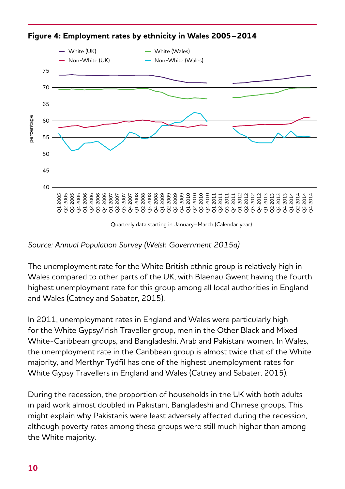

**Figure 4: Employment rates by ethnicity in Wales 2005–2014**

Quarterly data starting in January–March (Calendar year)

#### *Source: Annual Population Survey (Welsh Government 2015a)*

The unemployment rate for the White British ethnic group is relatively high in Wales compared to other parts of the UK, with Blaenau Gwent having the fourth highest unemployment rate for this group among all local authorities in England and Wales (Catney and Sabater, 2015).

In 2011, unemployment rates in England and Wales were particularly high for the White Gypsy/Irish Traveller group, men in the Other Black and Mixed White-Caribbean groups, and Bangladeshi, Arab and Pakistani women. In Wales, the unemployment rate in the Caribbean group is almost twice that of the White majority, and Merthyr Tydfil has one of the highest unemployment rates for White Gypsy Travellers in England and Wales (Catney and Sabater, 2015).

During the recession, the proportion of households in the UK with both adults in paid work almost doubled in Pakistani, Bangladeshi and Chinese groups. This might explain why Pakistanis were least adversely affected during the recession, although poverty rates among these groups were still much higher than among the White majority.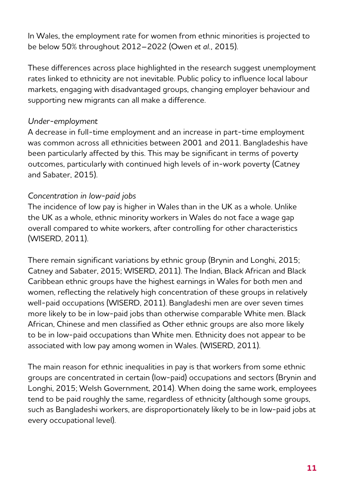In Wales, the employment rate for women from ethnic minorities is projected to be below 50% throughout 2012–2022 (Owen *et al.,* 2015).

These differences across place highlighted in the research suggest unemployment rates linked to ethnicity are not inevitable. Public policy to influence local labour markets, engaging with disadvantaged groups, changing employer behaviour and supporting new migrants can all make a difference.

#### *Under-employment*

A decrease in full-time employment and an increase in part-time employment was common across all ethnicities between 2001 and 2011. Bangladeshis have been particularly affected by this. This may be significant in terms of poverty outcomes, particularly with continued high levels of in-work poverty (Catney and Sabater, 2015).

#### *Concentration in low-paid jobs*

The incidence of low pay is higher in Wales than in the UK as a whole. Unlike the UK as a whole, ethnic minority workers in Wales do not face a wage gap overall compared to white workers, after controlling for other characteristics (WISERD, 2011).

There remain significant variations by ethnic group (Brynin and Longhi, 2015; Catney and Sabater, 2015; WISERD, 2011). The Indian, Black African and Black Caribbean ethnic groups have the highest earnings in Wales for both men and women, reflecting the relatively high concentration of these groups in relatively well-paid occupations (WISERD, 2011). Bangladeshi men are over seven times more likely to be in low-paid jobs than otherwise comparable White men. Black African, Chinese and men classified as Other ethnic groups are also more likely to be in low-paid occupations than White men. Ethnicity does not appear to be associated with low pay among women in Wales. (WISERD, 2011).

The main reason for ethnic inequalities in pay is that workers from some ethnic groups are concentrated in certain (low-paid) occupations and sectors (Brynin and Longhi, 2015; Welsh Government, 2014). When doing the same work, employees tend to be paid roughly the same, regardless of ethnicity (although some groups, such as Bangladeshi workers, are disproportionately likely to be in low-paid jobs at every occupational level).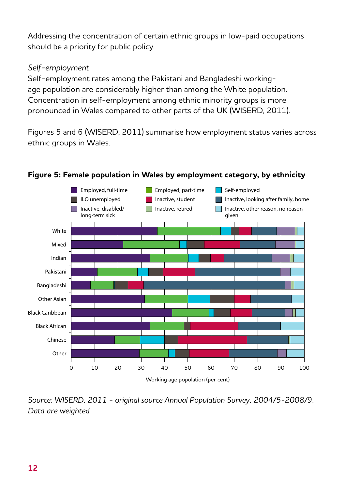Addressing the concentration of certain ethnic groups in low-paid occupations should be a priority for public policy.

#### *Self-employment*

Self-employment rates among the Pakistani and Bangladeshi workingage population are considerably higher than among the White population. Concentration in self-employment among ethnic minority groups is more pronounced in Wales compared to other parts of the UK (WISERD, 2011).

Figures 5 and 6 (WISERD, 2011) summarise how employment status varies across ethnic groups in Wales.



#### **Figure 5: Female population in Wales by employment category, by ethnicity**

*Source: WISERD, 2011 - original source Annual Population Survey, 2004/5-2008/9. Data are weighted*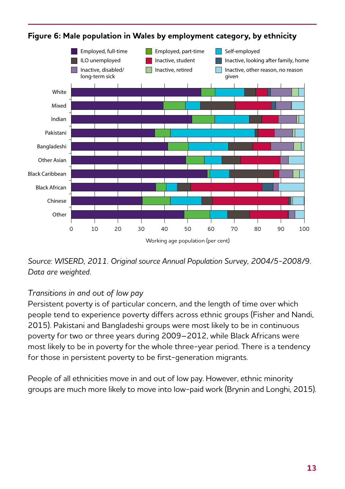

### **Figure 6: Male population in Wales by employment category, by ethnicity**

*Source: WISERD, 2011. Original source Annual Population Survey, 2004/5-2008/9. Data are weighted.*

## *Transitions in and out of low pay*

Persistent poverty is of particular concern, and the length of time over which people tend to experience poverty differs across ethnic groups (Fisher and Nandi, 2015). Pakistani and Bangladeshi groups were most likely to be in continuous poverty for two or three years during 2009–2012, while Black Africans were most likely to be in poverty for the whole three-year period. There is a tendency for those in persistent poverty to be first-generation migrants.

People of all ethnicities move in and out of low pay. However, ethnic minority groups are much more likely to move into low-paid work (Brynin and Longhi, 2015).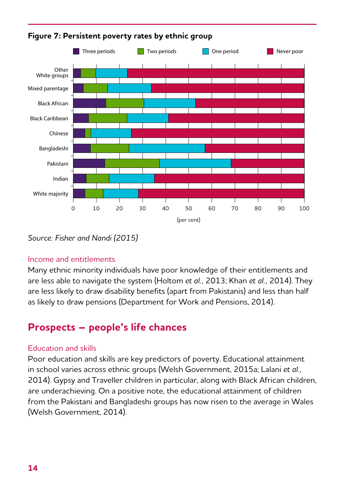

**Figure 7: Persistent poverty rates by ethnic group**

*Source: Fisher and Nandi (2015)*

#### Income and entitlements

Many ethnic minority individuals have poor knowledge of their entitlements and are less able to navigate the system (Holtom *et al.,* 2013; Khan *et al.,* 2014). They are less likely to draw disability benefits (apart from Pakistanis) and less than half as likely to draw pensions (Department for Work and Pensions, 2014).

## **Prospects – people's life chances**

#### Education and skills

Poor education and skills are key predictors of poverty. Educational attainment in school varies across ethnic groups (Welsh Government, 2015a; Lalani *et al.,* 2014). Gypsy and Traveller children in particular, along with Black African children, are underachieving. On a positive note, the educational attainment of children from the Pakistani and Bangladeshi groups has now risen to the average in Wales (Welsh Government, 2014).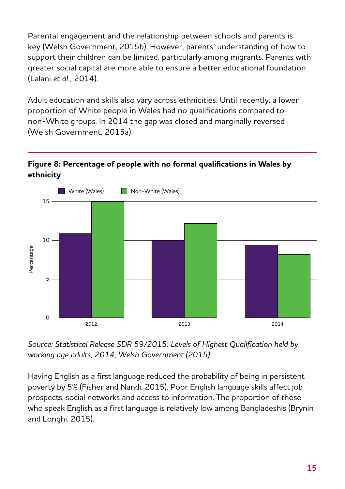Parental engagement and the relationship between schools and parents is key (Welsh Government, 2015b). However, parents' understanding of how to support their children can be limited, particularly among migrants. Parents with greater social capital are more able to ensure a better educational foundation (Lalani *et al.,* 2014).

Adult education and skills also vary across ethnicities. Until recently, a lower proportion of White people in Wales had no qualifications compared to non-White groups. In 2014 the gap was closed and marginally reversed (Welsh Government, 2015a).

#### **Figure 8: Percentage of people with no formal qualifications in Wales by ethnicity**



*Source: Statistical Release SDR 59/2015: Levels of Highest Qualification held by working age adults, 2014, Welsh Government (2015)*

Having English as a first language reduced the probability of being in persistent poverty by 5% (Fisher and Nandi, 2015). Poor English language skills affect job prospects, social networks and access to information. The proportion of those who speak English as a first language is relatively low among Bangladeshis (Brynin and Longhi, 2015).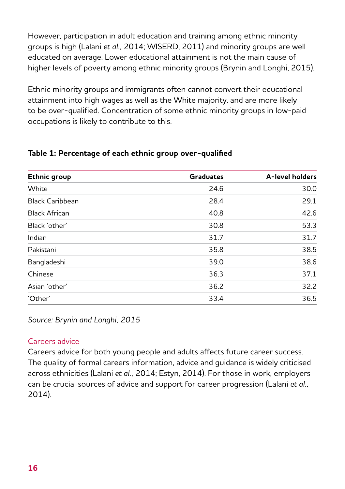However, participation in adult education and training among ethnic minority groups is high (Lalani *et al.,* 2014; WISERD, 2011) and minority groups are well educated on average. Lower educational attainment is not the main cause of higher levels of poverty among ethnic minority groups (Brynin and Longhi, 2015).

Ethnic minority groups and immigrants often cannot convert their educational attainment into high wages as well as the White majority, and are more likely to be over-qualified. Concentration of some ethnic minority groups in low-paid occupations is likely to contribute to this.

| Ethnic group           | <b>Graduates</b> | A-level holders |
|------------------------|------------------|-----------------|
| White                  | 24.6             | 30.0            |
| <b>Black Caribbean</b> | 28.4             | 29.1            |
| <b>Black African</b>   | 40.8             | 42.6            |
| Black 'other'          | 30.8             | 53.3            |
| Indian                 | 31.7             | 31.7            |
| Pakistani              | 35.8             | 38.5            |
| Bangladeshi            | 39.0             | 38.6            |
| Chinese                | 36.3             | 37.1            |
| Asian 'other'          | 36.2             | 32.2            |
| 'Other'                | 33.4             | 36.5            |

#### **Table 1: Percentage of each ethnic group over-qualified**

*Source: Brynin and Longhi, 2015*

#### Careers advice

Careers advice for both young people and adults affects future career success. The quality of formal careers information, advice and guidance is widely criticised across ethnicities (Lalani *et al.,* 2014; Estyn, 2014). For those in work, employers can be crucial sources of advice and support for career progression (Lalani *et al.,* 2014).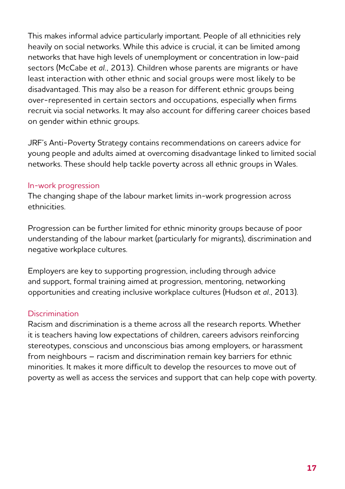This makes informal advice particularly important. People of all ethnicities rely heavily on social networks. While this advice is crucial, it can be limited among networks that have high levels of unemployment or concentration in low-paid sectors (McCabe *et al.,* 2013). Children whose parents are migrants or have least interaction with other ethnic and social groups were most likely to be disadvantaged. This may also be a reason for different ethnic groups being over-represented in certain sectors and occupations, especially when firms recruit via social networks. It may also account for differing career choices based on gender within ethnic groups.

JRF's Anti-Poverty Strategy contains recommendations on careers advice for young people and adults aimed at overcoming disadvantage linked to limited social networks. These should help tackle poverty across all ethnic groups in Wales.

#### In-work progression

The changing shape of the labour market limits in-work progression across ethnicities.

Progression can be further limited for ethnic minority groups because of poor understanding of the labour market (particularly for migrants), discrimination and negative workplace cultures.

Employers are key to supporting progression, including through advice and support, formal training aimed at progression, mentoring, networking opportunities and creating inclusive workplace cultures (Hudson *et al.,* 2013).

#### **Discrimination**

Racism and discrimination is a theme across all the research reports. Whether it is teachers having low expectations of children, careers advisors reinforcing stereotypes, conscious and unconscious bias among employers, or harassment from neighbours – racism and discrimination remain key barriers for ethnic minorities. It makes it more difficult to develop the resources to move out of poverty as well as access the services and support that can help cope with poverty.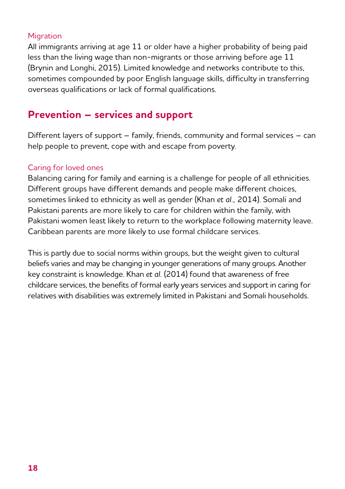#### **Migration**

All immigrants arriving at age 11 or older have a higher probability of being paid less than the living wage than non-migrants or those arriving before age 11 (Brynin and Longhi, 2015). Limited knowledge and networks contribute to this, sometimes compounded by poor English language skills, difficulty in transferring overseas qualifications or lack of formal qualifications.

## **Prevention – services and support**

Different layers of support – family, friends, community and formal services – can help people to prevent, cope with and escape from poverty.

#### Caring for loved ones

Balancing caring for family and earning is a challenge for people of all ethnicities. Different groups have different demands and people make different choices, sometimes linked to ethnicity as well as gender (Khan *et al.,* 2014). Somali and Pakistani parents are more likely to care for children within the family, with Pakistani women least likely to return to the workplace following maternity leave. Caribbean parents are more likely to use formal childcare services.

This is partly due to social norms within groups, but the weight given to cultural beliefs varies and may be changing in younger generations of many groups. Another key constraint is knowledge. Khan *et al.* (2014) found that awareness of free childcare services, the benefits of formal early years services and support in caring for relatives with disabilities was extremely limited in Pakistani and Somali households.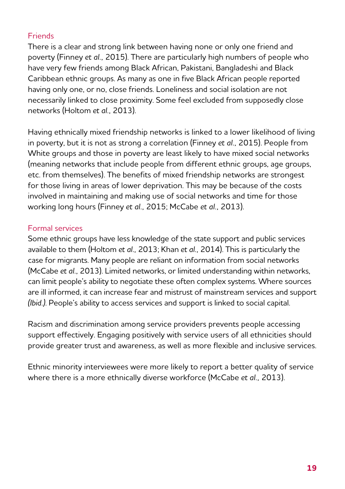#### **Friends**

There is a clear and strong link between having none or only one friend and poverty (Finney *et al.,* 2015). There are particularly high numbers of people who have very few friends among Black African, Pakistani, Bangladeshi and Black Caribbean ethnic groups. As many as one in five Black African people reported having only one, or no, close friends. Loneliness and social isolation are not necessarily linked to close proximity. Some feel excluded from supposedly close networks (Holtom *et al.,* 2013).

Having ethnically mixed friendship networks is linked to a lower likelihood of living in poverty, but it is not as strong a correlation (Finney *et al.,* 2015). People from White groups and those in poverty are least likely to have mixed social networks (meaning networks that include people from different ethnic groups, age groups, etc. from themselves). The benefits of mixed friendship networks are strongest for those living in areas of lower deprivation. This may be because of the costs involved in maintaining and making use of social networks and time for those working long hours (Finney *et al.,* 2015; McCabe *et al.,* 2013).

#### Formal services

Some ethnic groups have less knowledge of the state support and public services available to them (Holtom *et al.,* 2013; Khan *et al.,* 2014). This is particularly the case for migrants. Many people are reliant on information from social networks (McCabe *et al.,* 2013). Limited networks, or limited understanding within networks, can limit people's ability to negotiate these often complex systems. Where sources are ill informed, it can increase fear and mistrust of mainstream services and support *(Ibid.)*. People's ability to access services and support is linked to social capital.

Racism and discrimination among service providers prevents people accessing support effectively. Engaging positively with service users of all ethnicities should provide greater trust and awareness, as well as more flexible and inclusive services.

Ethnic minority interviewees were more likely to report a better quality of service where there is a more ethnically diverse workforce (McCabe *et al.,* 2013).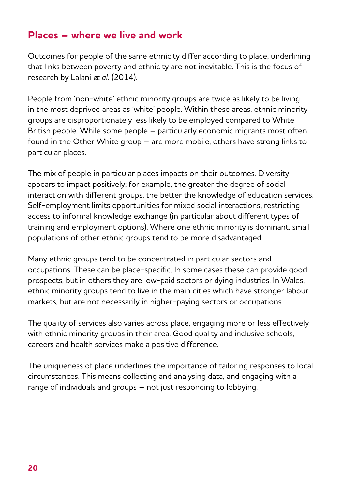## **Places – where we live and work**

Outcomes for people of the same ethnicity differ according to place, underlining that links between poverty and ethnicity are not inevitable. This is the focus of research by Lalani *et al.* (2014).

People from 'non-white' ethnic minority groups are twice as likely to be living in the most deprived areas as 'white' people. Within these areas, ethnic minority groups are disproportionately less likely to be employed compared to White British people. While some people – particularly economic migrants most often found in the Other White group – are more mobile, others have strong links to particular places.

The mix of people in particular places impacts on their outcomes. Diversity appears to impact positively; for example, the greater the degree of social interaction with different groups, the better the knowledge of education services. Self-employment limits opportunities for mixed social interactions, restricting access to informal knowledge exchange (in particular about different types of training and employment options). Where one ethnic minority is dominant, small populations of other ethnic groups tend to be more disadvantaged.

Many ethnic groups tend to be concentrated in particular sectors and occupations. These can be place-specific. In some cases these can provide good prospects, but in others they are low-paid sectors or dying industries. In Wales, ethnic minority groups tend to live in the main cities which have stronger labour markets, but are not necessarily in higher-paying sectors or occupations.

The quality of services also varies across place, engaging more or less effectively with ethnic minority groups in their area. Good quality and inclusive schools, careers and health services make a positive difference.

The uniqueness of place underlines the importance of tailoring responses to local circumstances. This means collecting and analysing data, and engaging with a range of individuals and groups – not just responding to lobbying.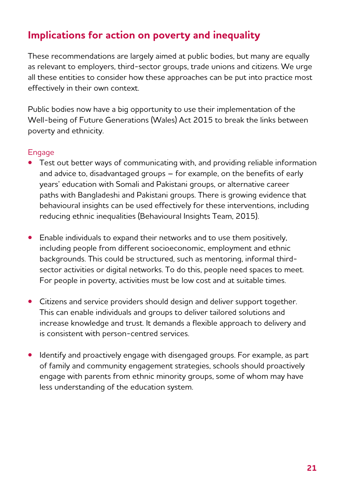# **Implications for action on poverty and inequality**

These recommendations are largely aimed at public bodies, but many are equally as relevant to employers, third-sector groups, trade unions and citizens. We urge all these entities to consider how these approaches can be put into practice most effectively in their own context.

Public bodies now have a big opportunity to use their implementation of the Well-being of Future Generations (Wales) Act 2015 to break the links between poverty and ethnicity.

#### **Engage**

- **•** Test out better ways of communicating with, and providing reliable information and advice to, disadvantaged groups – for example, on the benefits of early years' education with Somali and Pakistani groups, or alternative career paths with Bangladeshi and Pakistani groups. There is growing evidence that behavioural insights can be used effectively for these interventions, including reducing ethnic inequalities (Behavioural Insights Team, 2015).
- **•** Enable individuals to expand their networks and to use them positively, including people from different socioeconomic, employment and ethnic backgrounds. This could be structured, such as mentoring, informal thirdsector activities or digital networks. To do this, people need spaces to meet. For people in poverty, activities must be low cost and at suitable times.
- **•** Citizens and service providers should design and deliver support together. This can enable individuals and groups to deliver tailored solutions and increase knowledge and trust. It demands a flexible approach to delivery and is consistent with person-centred services.
- **•** Identify and proactively engage with disengaged groups. For example, as part of family and community engagement strategies, schools should proactively engage with parents from ethnic minority groups, some of whom may have less understanding of the education system.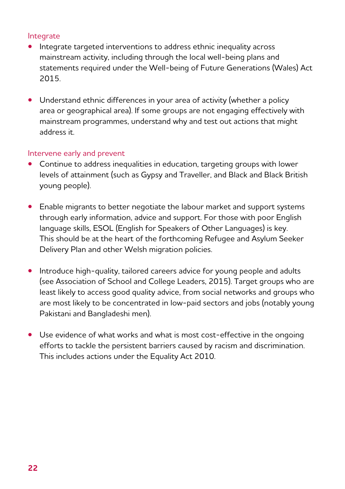#### Integrate

- **•** Integrate targeted interventions to address ethnic inequality across mainstream activity, including through the local well-being plans and statements required under the Well-being of Future Generations (Wales) Act 2015.
- Understand ethnic differences in your area of activity (whether a policy area or geographical area). If some groups are not engaging effectively with mainstream programmes, understand why and test out actions that might address it.

#### Intervene early and prevent

- **•** Continue to address inequalities in education, targeting groups with lower levels of attainment (such as Gypsy and Traveller, and Black and Black British young people).
- **•** Enable migrants to better negotiate the labour market and support systems through early information, advice and support. For those with poor English language skills, ESOL (English for Speakers of Other Languages) is key. This should be at the heart of the forthcoming Refugee and Asylum Seeker Delivery Plan and other Welsh migration policies.
- **•** Introduce high-quality, tailored careers advice for young people and adults (see Association of School and College Leaders, 2015). Target groups who are least likely to access good quality advice, from social networks and groups who are most likely to be concentrated in low-paid sectors and jobs (notably young Pakistani and Bangladeshi men).
- **•** Use evidence of what works and what is most cost-effective in the ongoing efforts to tackle the persistent barriers caused by racism and discrimination. This includes actions under the Equality Act 2010.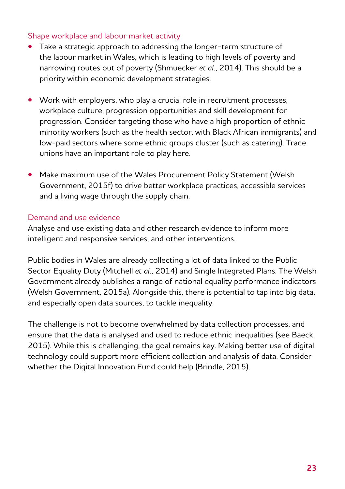#### Shape workplace and labour market activity

- **•** Take a strategic approach to addressing the longer-term structure of the labour market in Wales, which is leading to high levels of poverty and narrowing routes out of poverty (Shmuecker *et al.,* 2014). This should be a priority within economic development strategies.
- **•** Work with employers, who play a crucial role in recruitment processes, workplace culture, progression opportunities and skill development for progression. Consider targeting those who have a high proportion of ethnic minority workers (such as the health sector, with Black African immigrants) and low-paid sectors where some ethnic groups cluster (such as catering). Trade unions have an important role to play here.
- **•** Make maximum use of the Wales Procurement Policy Statement (Welsh Government, 2015f) to drive better workplace practices, accessible services and a living wage through the supply chain.

#### Demand and use evidence

Analyse and use existing data and other research evidence to inform more intelligent and responsive services, and other interventions.

Public bodies in Wales are already collecting a lot of data linked to the Public Sector Equality Duty (Mitchell *et al.,* 2014) and Single Integrated Plans. The Welsh Government already publishes a range of national equality performance indicators (Welsh Government, 2015a). Alongside this, there is potential to tap into big data, and especially open data sources, to tackle inequality.

The challenge is not to become overwhelmed by data collection processes, and ensure that the data is analysed and used to reduce ethnic inequalities (see Baeck, 2015). While this is challenging, the goal remains key. Making better use of digital technology could support more efficient collection and analysis of data. Consider whether the Digital Innovation Fund could help (Brindle, 2015).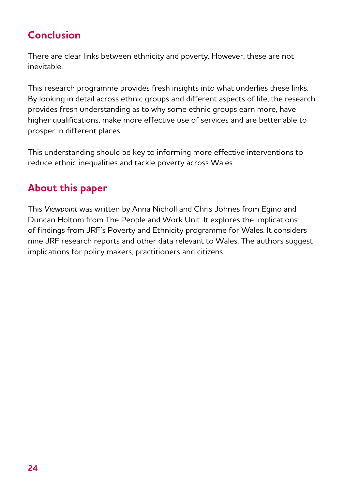# **Conclusion**

There are clear links between ethnicity and poverty. However, these are not inevitable.

This research programme provides fresh insights into what underlies these links. By looking in detail across ethnic groups and different aspects of life, the research provides fresh understanding as to why some ethnic groups earn more, have higher qualifications, make more effective use of services and are better able to prosper in different places.

This understanding should be key to informing more effective interventions to reduce ethnic inequalities and tackle poverty across Wales.

# **About this paper**

This *Viewpoint* was written by Anna Nicholl and Chris Johnes from Egino and Duncan Holtom from The People and Work Unit. It explores the implications of findings from JRF's Poverty and Ethnicity programme for Wales. It considers nine JRF research reports and other data relevant to Wales. The authors suggest implications for policy makers, practitioners and citizens.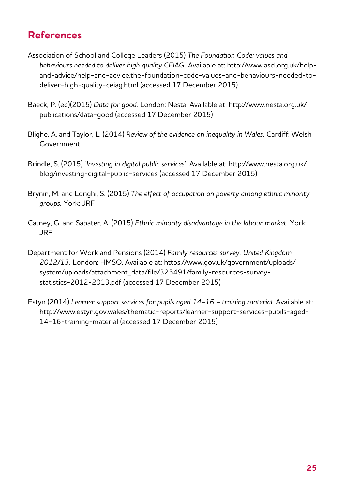# **References**

- Association of School and College Leaders (2015) *The Foundation Code: values and behaviours needed to deliver high quality CEIAG.* Available at: [http://www.ascl.org.uk/help](http://www.ascl.org.uk/help-and-advice/help-and-advice.the-foundation-code-values-and-behaviours-nee)[and-advice/help-and-advice.the-foundation-code-values-and-behaviours-needed-to](http://www.ascl.org.uk/help-and-advice/help-and-advice.the-foundation-code-values-and-behaviours-nee)[deliver-high-quality-ceiag.html](http://www.ascl.org.uk/help-and-advice/help-and-advice.the-foundation-code-values-and-behaviours-nee) (accessed 17 December 2015)
- Baeck, P. (ed)(2015) *Data for good.* London: Nesta. Available at: [http://www.nesta.org.uk/](http://www.nesta.org.uk/publications/data-good) [publications/data-good](http://www.nesta.org.uk/publications/data-good) (accessed 17 December 2015)
- Blighe, A. and Taylor, L. (2014) *Review of the evidence on inequality in Wales.* Cardiff: Welsh Government
- Brindle, S. (2015) *'Investing in digital public services'.* Available at: [http://www.nesta.org.uk/](http://www.nesta.org.uk/blog/investing-digital-public-services) [blog/investing-digital-public-services](http://www.nesta.org.uk/blog/investing-digital-public-services) (accessed 17 December 2015)
- Brynin, M. and Longhi, S. (2015) *The effect of occupation on poverty among ethnic minority groups.* York: JRF
- Catney, G. and Sabater, A. (2015) *Ethnic minority disadvantage in the labour market.* York: JRF
- Department for Work and Pensions (2014) *Family resources survey, United Kingdom 2012/13.* London: HMSO. Available at: [https://www.gov.uk/government/uploads/](https://www.gov.uk/government/uploads/system/uploads/attachment_data/file/325491/family-resources-su) [system/uploads/attachment\\_data/file/325491/family-resources-survey](https://www.gov.uk/government/uploads/system/uploads/attachment_data/file/325491/family-resources-su)[statistics-2012-2013.pdf](https://www.gov.uk/government/uploads/system/uploads/attachment_data/file/325491/family-resources-su) (accessed 17 December 2015)
- Estyn (2014) Learner support services for pupils aged 14-16 training material. Available at: [http://www.estyn.gov.wales/thematic-reports/learner-support-services-pupils-aged-](http://www.estyn.gov.wales/thematic-reports/learner-support-services-pupils-aged-14-16-training-mate)[14-16-training-material](http://www.estyn.gov.wales/thematic-reports/learner-support-services-pupils-aged-14-16-training-mate) (accessed 17 December 2015)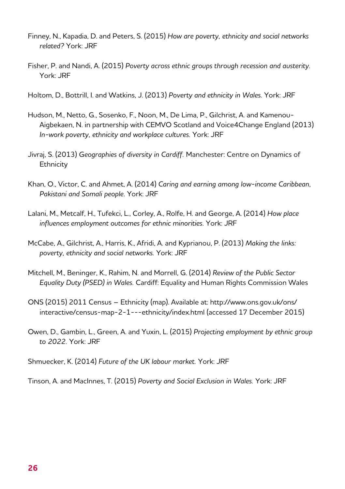- Finney, N., Kapadia, D. and Peters, S. (2015) *How are poverty, ethnicity and social networks related?* York: JRF
- Fisher, P. and Nandi, A. (2015) *Poverty across ethnic groups through recession and austerity.* York: JRF
- Holtom, D., Bottrill, I. and Watkins, J. (2013) *Poverty and ethnicity in Wales.* York: JRF
- Hudson, M., Netto, G., Sosenko, F., Noon, M., De Lima, P., Gilchrist, A. and Kamenou-Aigbekaen, N. in partnership with CEMVO Scotland and Voice4Change England (2013) *In-work poverty, ethnicity and workplace cultures.* York: JRF
- Jivraj, S. (2013) *Geographies of diversity in Cardiff.* Manchester: Centre on Dynamics of **Ethnicity**
- Khan, O., Victor, C. and Ahmet, A. (2014) *Caring and earning among low-income Caribbean, Pakistani and Somali people.* York: JRF
- Lalani, M., Metcalf, H., Tufekci, L., Corley, A., Rolfe, H. and George, A. (2014) *How place influences employment outcomes for ethnic minorities.* York: JRF
- McCabe, A., Gilchrist, A., Harris, K., Afridi, A. and Kyprianou, P. (2013) *Making the links: poverty, ethnicity and social networks.* York: JRF
- Mitchell, M., Beninger, K., Rahim, N. and Morrell, G. (2014) *Review of the Public Sector Equality Duty (PSED) in Wales.* Cardiff: Equality and Human Rights Commission Wales
- ONS (2015) 2011 Census Ethnicity (map). Available at: [http://www.ons.gov.uk/ons/](http://www.ons.gov.uk/ons/interactive/census-map-2-1---ethnicity/index.html) [interactive/census-map-2-1---ethnicity/index.html](http://www.ons.gov.uk/ons/interactive/census-map-2-1---ethnicity/index.html) (accessed 17 December 2015)
- Owen, D., Gambin, L., Green, A. and Yuxin, L. (2015) *Projecting employment by ethnic group to 2022.* York: JRF
- Shmuecker, K. (2014) *Future of the UK labour market.* York: JRF

Tinson, A. and MacInnes, T. (2015) *Poverty and Social Exclusion in Wales.* York: JRF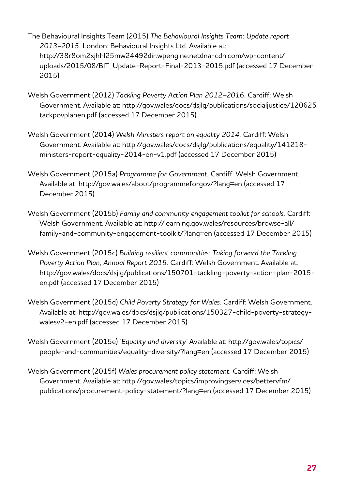The Behavioural Insights Team (2015) *The Behavioural Insights Team: Update report 2013–2015.* London: Behavioural Insights Ltd. Available at: [http://38r8om2xjhhl25mw24492dir.wpengine.netdna-cdn.com/wp-content/](http://38r8om2xjhhl25mw24492dir.wpengine.netdna-cdn.com/wp-content/uploads/2015/08/BIT_Update-Report) [uploads/2015/08/BIT\\_Update-Report-Final-2013-2015.pdf](http://38r8om2xjhhl25mw24492dir.wpengine.netdna-cdn.com/wp-content/uploads/2015/08/BIT_Update-Report) (accessed 17 December 2015)

- Welsh Government (2012) *Tackling Poverty Action Plan 2012–2016.* Cardiff: Welsh Government. Available at: [http://gov.wales/docs/dsjlg/publications/socialjustice/120625](http://gov.wales/docs/dsjlg/publications/socialjustice/120625tackpovplanen.pdf) [tackpovplanen.pdf](http://gov.wales/docs/dsjlg/publications/socialjustice/120625tackpovplanen.pdf) (accessed 17 December 2015)
- Welsh Government (2014) *Welsh Ministers report on equality 2014.* Cardiff: Welsh Government. Available at: [http://gov.wales/docs/dsjlg/publications/equality/141218](http://gov.wales/docs/dsjlg/publications/equality/141218-ministers-report-equality-2014-en-v1.pdf) [ministers-report-equality-2014-en-v1.pdf](http://gov.wales/docs/dsjlg/publications/equality/141218-ministers-report-equality-2014-en-v1.pdf) (accessed 17 December 2015)
- Welsh Government (2015a) *Programme for Government.* Cardiff: Welsh Government. Available at: <http://gov.wales/about/programmeforgov/?lang=en>(accessed 17 December 2015)
- Welsh Government (2015b) *Family and community engagement toolkit for schools.* Cardiff: Welsh Government. Available at: [http://learning.gov.wales/resources/browse-all/](http://learning.gov.wales/resources/browse-all/family-and-community-engagement-toolkit/?lang=en) [family-and-community-engagement-toolkit/?lang=en](http://learning.gov.wales/resources/browse-all/family-and-community-engagement-toolkit/?lang=en) (accessed 17 December 2015)
- Welsh Government (2015c) *Building resilient communities: Taking forward the Tackling Poverty Action Plan, Annual Report 2015.* Cardiff: Welsh Government. Available at: [http://gov.wales/docs/dsjlg/publications/150701-tackling-poverty-action-plan-2015](http://gov.wales/docs/dsjlg/publications/150701-tackling-poverty-action-plan-2015-en.pdf) [en.pdf](http://gov.wales/docs/dsjlg/publications/150701-tackling-poverty-action-plan-2015-en.pdf) (accessed 17 December 2015)
- Welsh Government (2015d) *Child Poverty Strategy for Wales.* Cardiff: Welsh Government. Available at: [http://gov.wales/docs/dsjlg/publications/150327-child-poverty-strategy](http://gov.wales/docs/dsjlg/publications/150327-child-poverty-strategy-walesv2-en.pdf)[walesv2-en.pdf](http://gov.wales/docs/dsjlg/publications/150327-child-poverty-strategy-walesv2-en.pdf) (accessed 17 December 2015)
- Welsh Government (2015e) *'Equality and diversity'* Available at: [http://gov.wales/topics/](http://gov.wales/topics/people-and-communities/equality-diversity/?lang=en) [people-and-communities/equality-diversity/?lang=en](http://gov.wales/topics/people-and-communities/equality-diversity/?lang=en) (accessed 17 December 2015)
- Welsh Government (2015f) *Wales procurement policy statement.* Cardiff: Welsh Government. Available at: [http://gov.wales/topics/improvingservices/bettervfm/](http://gov.wales/topics/improvingservices/bettervfm/publications/procurement-policy-statement/?lang=) [publications/procurement-policy-statement/?lang=en](http://gov.wales/topics/improvingservices/bettervfm/publications/procurement-policy-statement/?lang=) (accessed 17 December 2015)